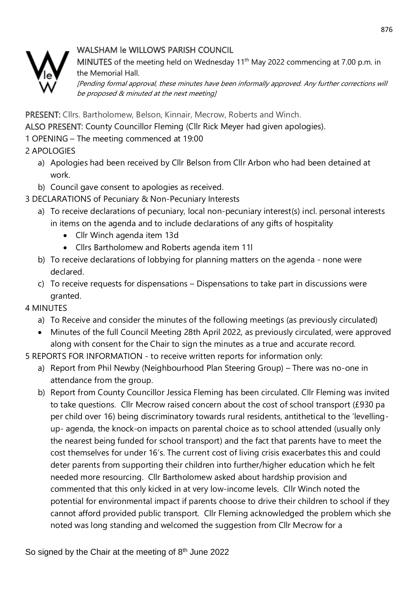# WALSHAM le WILLOWS PARISH COUNCIL



MINUTES of the meeting held on Wednesday 11<sup>th</sup> May 2022 commencing at 7.00 p.m. in the Memorial Hall.

[Pending formal approval, these minutes have been informally approved. Any further corrections will be proposed & minuted at the next meeting]

PRESENT: Cllrs. Bartholomew, Belson, Kinnair, Mecrow, Roberts and Winch.

ALSO PRESENT: County Councillor Fleming (Cllr Rick Meyer had given apologies).

1 OPENING – The meeting commenced at 19:00

2 APOLOGIES

- a) Apologies had been received by Cllr Belson from Cllr Arbon who had been detained at work.
- b) Council gave consent to apologies as received.
- 3 DECLARATIONS of Pecuniary & Non-Pecuniary Interests
	- a) To receive declarations of pecuniary, local non-pecuniary interest(s) incl. personal interests in items on the agenda and to include declarations of any gifts of hospitality
		- Cllr Winch agenda item 13d
		- Cllrs Bartholomew and Roberts agenda item 11l
	- b) To receive declarations of lobbying for planning matters on the agenda none were declared.
	- c) To receive requests for dispensations Dispensations to take part in discussions were granted.

4 MINUTES

- a) To Receive and consider the minutes of the following meetings (as previously circulated)
- Minutes of the full Council Meeting 28th April 2022, as previously circulated, were approved along with consent for the Chair to sign the minutes as a true and accurate record.

5 REPORTS FOR INFORMATION - to receive written reports for information only:

- a) Report from Phil Newby (Neighbourhood Plan Steering Group) There was no-one in attendance from the group.
- b) Report from County Councillor Jessica Fleming has been circulated. Cllr Fleming was invited to take questions. Cllr Mecrow raised concern about the cost of school transport (£930 pa per child over 16) being discriminatory towards rural residents, antithetical to the 'levellingup- agenda, the knock-on impacts on parental choice as to school attended (usually only the nearest being funded for school transport) and the fact that parents have to meet the cost themselves for under 16's. The current cost of living crisis exacerbates this and could deter parents from supporting their children into further/higher education which he felt needed more resourcing. Cllr Bartholomew asked about hardship provision and commented that this only kicked in at very low-income levels. Cllr Winch noted the potential for environmental impact if parents choose to drive their children to school if they cannot afford provided public transport. Cllr Fleming acknowledged the problem which she noted was long standing and welcomed the suggestion from Cllr Mecrow for a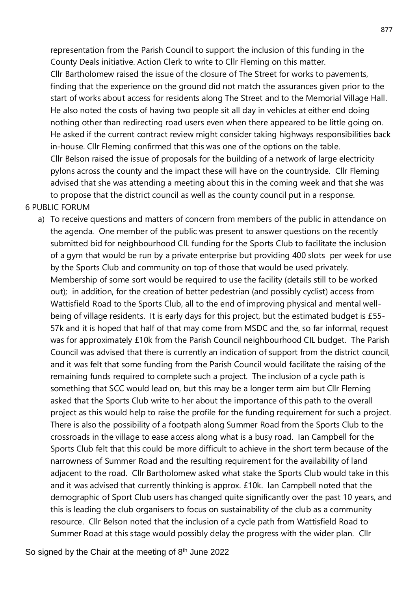representation from the Parish Council to support the inclusion of this funding in the County Deals initiative. Action Clerk to write to Cllr Fleming on this matter. Cllr Bartholomew raised the issue of the closure of The Street for works to pavements, finding that the experience on the ground did not match the assurances given prior to the start of works about access for residents along The Street and to the Memorial Village Hall. He also noted the costs of having two people sit all day in vehicles at either end doing nothing other than redirecting road users even when there appeared to be little going on. He asked if the current contract review might consider taking highways responsibilities back in-house. Cllr Fleming confirmed that this was one of the options on the table. Cllr Belson raised the issue of proposals for the building of a network of large electricity pylons across the county and the impact these will have on the countryside. Cllr Fleming advised that she was attending a meeting about this in the coming week and that she was to propose that the district council as well as the county council put in a response.

### 6 PUBLIC FORUM

a) To receive questions and matters of concern from members of the public in attendance on the agenda. One member of the public was present to answer questions on the recently submitted bid for neighbourhood CIL funding for the Sports Club to facilitate the inclusion of a gym that would be run by a private enterprise but providing 400 slots per week for use by the Sports Club and community on top of those that would be used privately. Membership of some sort would be required to use the facility (details still to be worked out); in addition, for the creation of better pedestrian (and possibly cyclist) access from Wattisfield Road to the Sports Club, all to the end of improving physical and mental wellbeing of village residents. It is early days for this project, but the estimated budget is £55- 57k and it is hoped that half of that may come from MSDC and the, so far informal, request was for approximately £10k from the Parish Council neighbourhood CIL budget. The Parish Council was advised that there is currently an indication of support from the district council, and it was felt that some funding from the Parish Council would facilitate the raising of the remaining funds required to complete such a project. The inclusion of a cycle path is something that SCC would lead on, but this may be a longer term aim but Cllr Fleming asked that the Sports Club write to her about the importance of this path to the overall project as this would help to raise the profile for the funding requirement for such a project. There is also the possibility of a footpath along Summer Road from the Sports Club to the crossroads in the village to ease access along what is a busy road. Ian Campbell for the Sports Club felt that this could be more difficult to achieve in the short term because of the narrowness of Summer Road and the resulting requirement for the availability of land adjacent to the road. Cllr Bartholomew asked what stake the Sports Club would take in this and it was advised that currently thinking is approx. £10k. Ian Campbell noted that the demographic of Sport Club users has changed quite significantly over the past 10 years, and this is leading the club organisers to focus on sustainability of the club as a community resource. Cllr Belson noted that the inclusion of a cycle path from Wattisfield Road to Summer Road at this stage would possibly delay the progress with the wider plan. Cllr

So signed by the Chair at the meeting of 8<sup>th</sup> June 2022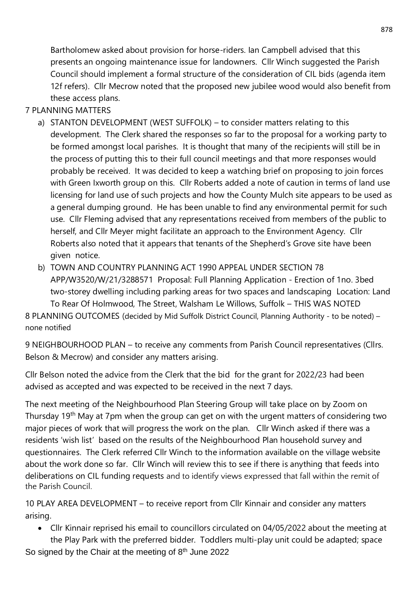Bartholomew asked about provision for horse-riders. Ian Campbell advised that this presents an ongoing maintenance issue for landowners. Cllr Winch suggested the Parish Council should implement a formal structure of the consideration of CIL bids (agenda item 12f refers). Cllr Mecrow noted that the proposed new jubilee wood would also benefit from these access plans.

## 7 PLANNING MATTERS

- a) STANTON DEVELOPMENT (WEST SUFFOLK) to consider matters relating to this development. The Clerk shared the responses so far to the proposal for a working party to be formed amongst local parishes. It is thought that many of the recipients will still be in the process of putting this to their full council meetings and that more responses would probably be received. It was decided to keep a watching brief on proposing to join forces with Green Ixworth group on this. Cllr Roberts added a note of caution in terms of land use licensing for land use of such projects and how the County Mulch site appears to be used as a general dumping ground. He has been unable to find any environmental permit for such use. Cllr Fleming advised that any representations received from members of the public to herself, and Cllr Meyer might facilitate an approach to the Environment Agency. Cllr Roberts also noted that it appears that tenants of the Shepherd's Grove site have been given notice.
- b) TOWN AND COUNTRY PLANNING ACT 1990 APPEAL UNDER SECTION 78 APP/W3520/W/21/3288571 Proposal: Full Planning Application - Erection of 1no. 3bed two-storey dwelling including parking areas for two spaces and landscaping Location: Land To Rear Of Holmwood, The Street, Walsham Le Willows, Suffolk – THIS WAS NOTED 8 PLANNING OUTCOMES (decided by Mid Suffolk District Council, Planning Authority - to be noted) – none notified

9 NEIGHBOURHOOD PLAN – to receive any comments from Parish Council representatives (Cllrs. Belson & Mecrow) and consider any matters arising.

Cllr Belson noted the advice from the Clerk that the bid for the grant for 2022/23 had been advised as accepted and was expected to be received in the next 7 days.

The next meeting of the Neighbourhood Plan Steering Group will take place on by Zoom on Thursday 19<sup>th</sup> May at 7pm when the group can get on with the urgent matters of considering two major pieces of work that will progress the work on the plan. Cllr Winch asked if there was a residents 'wish list' based on the results of the Neighbourhood Plan household survey and questionnaires. The Clerk referred Cllr Winch to the information available on the village website about the work done so far. Cllr Winch will review this to see if there is anything that feeds into deliberations on CIL funding requests and to identify views expressed that fall within the remit of the Parish Council.

10 PLAY AREA DEVELOPMENT – to receive report from Cllr Kinnair and consider any matters arising.

• Cllr Kinnair reprised his email to councillors circulated on 04/05/2022 about the meeting at the Play Park with the preferred bidder. Toddlers multi-play unit could be adapted; space

So signed by the Chair at the meeting of 8<sup>th</sup> June 2022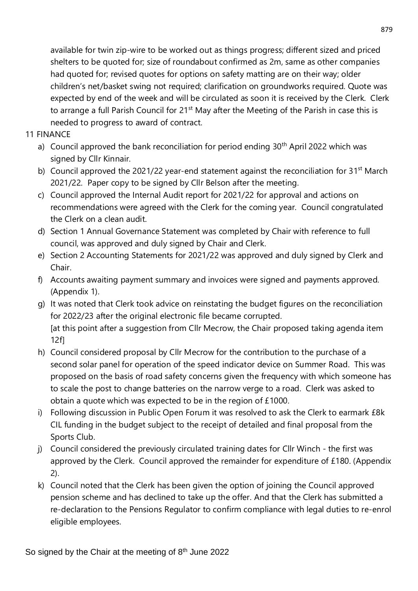available for twin zip-wire to be worked out as things progress; different sized and priced shelters to be quoted for; size of roundabout confirmed as 2m, same as other companies had quoted for; revised quotes for options on safety matting are on their way; older children's net/basket swing not required; clarification on groundworks required. Quote was expected by end of the week and will be circulated as soon it is received by the Clerk. Clerk to arrange a full Parish Council for 21<sup>st</sup> May after the Meeting of the Parish in case this is needed to progress to award of contract.

- 11 FINANCE
	- a) Council approved the bank reconciliation for period ending 30<sup>th</sup> April 2022 which was signed by Cllr Kinnair.
	- b) Council approved the 2021/22 year-end statement against the reconciliation for  $31^{st}$  March 2021/22. Paper copy to be signed by Cllr Belson after the meeting.
	- c) Council approved the Internal Audit report for 2021/22 for approval and actions on recommendations were agreed with the Clerk for the coming year. Council congratulated the Clerk on a clean audit.
	- d) Section 1 Annual Governance Statement was completed by Chair with reference to full council, was approved and duly signed by Chair and Clerk.
	- e) Section 2 Accounting Statements for 2021/22 was approved and duly signed by Clerk and Chair.
	- f) Accounts awaiting payment summary and invoices were signed and payments approved. (Appendix 1).
	- g) It was noted that Clerk took advice on reinstating the budget figures on the reconciliation for 2022/23 after the original electronic file became corrupted. [at this point after a suggestion from Cllr Mecrow, the Chair proposed taking agenda item 12f]
	- h) Council considered proposal by Cllr Mecrow for the contribution to the purchase of a second solar panel for operation of the speed indicator device on Summer Road. This was proposed on the basis of road safety concerns given the frequency with which someone has to scale the post to change batteries on the narrow verge to a road. Clerk was asked to obtain a quote which was expected to be in the region of £1000.
	- i) Following discussion in Public Open Forum it was resolved to ask the Clerk to earmark £8k CIL funding in the budget subject to the receipt of detailed and final proposal from the Sports Club.
	- j) Council considered the previously circulated training dates for Cllr Winch the first was approved by the Clerk. Council approved the remainder for expenditure of £180. (Appendix 2).
	- k) Council noted that the Clerk has been given the option of joining the Council approved pension scheme and has declined to take up the offer. And that the Clerk has submitted a re-declaration to the Pensions Regulator to confirm compliance with legal duties to re-enrol eligible employees.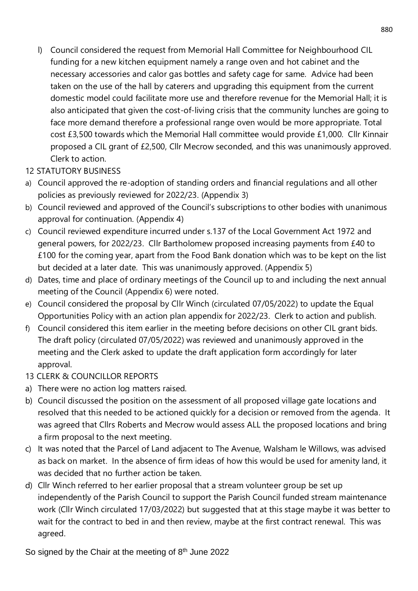l) Council considered the request from Memorial Hall Committee for Neighbourhood CIL funding for a new kitchen equipment namely a range oven and hot cabinet and the necessary accessories and calor gas bottles and safety cage for same. Advice had been taken on the use of the hall by caterers and upgrading this equipment from the current domestic model could facilitate more use and therefore revenue for the Memorial Hall; it is also anticipated that given the cost-of-living crisis that the community lunches are going to face more demand therefore a professional range oven would be more appropriate. Total cost £3,500 towards which the Memorial Hall committee would provide £1,000. Cllr Kinnair proposed a CIL grant of £2,500, Cllr Mecrow seconded, and this was unanimously approved. Clerk to action.

# 12 STATUTORY BUSINESS

- a) Council approved the re-adoption of standing orders and financial regulations and all other policies as previously reviewed for 2022/23. (Appendix 3)
- b) Council reviewed and approved of the Council's subscriptions to other bodies with unanimous approval for continuation. (Appendix 4)
- c) Council reviewed expenditure incurred under s.137 of the Local Government Act 1972 and general powers, for 2022/23. Cllr Bartholomew proposed increasing payments from £40 to £100 for the coming year, apart from the Food Bank donation which was to be kept on the list but decided at a later date. This was unanimously approved. (Appendix 5)
- d) Dates, time and place of ordinary meetings of the Council up to and including the next annual meeting of the Council (Appendix 6) were noted.
- e) Council considered the proposal by Cllr Winch (circulated 07/05/2022) to update the Equal Opportunities Policy with an action plan appendix for 2022/23. Clerk to action and publish.
- f) Council considered this item earlier in the meeting before decisions on other CIL grant bids. The draft policy (circulated 07/05/2022) was reviewed and unanimously approved in the meeting and the Clerk asked to update the draft application form accordingly for later approval.
- 13 CLERK & COUNCILLOR REPORTS
- a) There were no action log matters raised.
- b) Council discussed the position on the assessment of all proposed village gate locations and resolved that this needed to be actioned quickly for a decision or removed from the agenda. It was agreed that Cllrs Roberts and Mecrow would assess ALL the proposed locations and bring a firm proposal to the next meeting.
- c) It was noted that the Parcel of Land adjacent to The Avenue, Walsham le Willows, was advised as back on market. In the absence of firm ideas of how this would be used for amenity land, it was decided that no further action be taken.
- d) Cllr Winch referred to her earlier proposal that a stream volunteer group be set up independently of the Parish Council to support the Parish Council funded stream maintenance work (Cllr Winch circulated 17/03/2022) but suggested that at this stage maybe it was better to wait for the contract to bed in and then review, maybe at the first contract renewal. This was agreed.

So signed by the Chair at the meeting of 8<sup>th</sup> June 2022